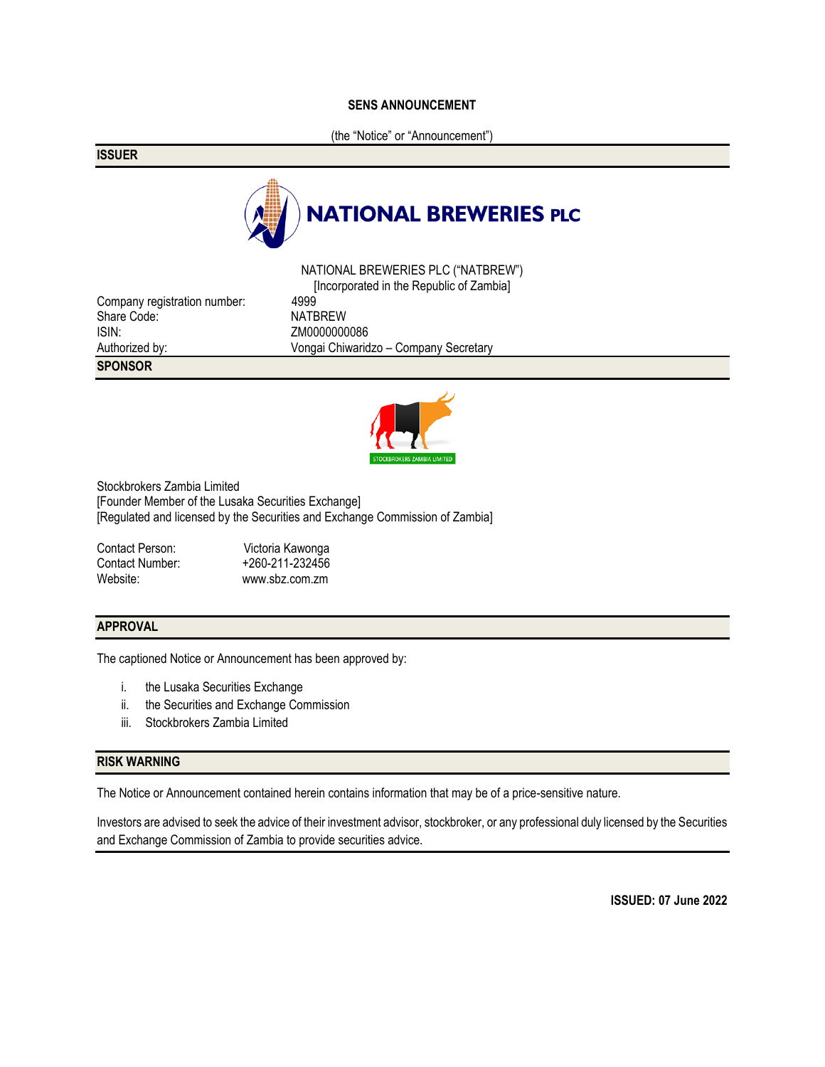### **SENS ANNOUNCEMENT**

(the "Notice" or "Announcement")

**ISSUER**



NATIONAL BREWERIES PLC ("NATBREW") [Incorporated in the Republic of Zambia] Authorized by: Vongai Chiwaridzo – Company Secretary





Stockbrokers Zambia Limited [Founder Member of the Lusaka Securities Exchange] [Regulated and licensed by the Securities and Exchange Commission of Zambia]

Contact Person:<br>
Contact Number: +260-211-232456 +260-211-232456 Website: www.sbz.com.zm

### **APPROVAL**

The captioned Notice or Announcement has been approved by:

- i. the Lusaka Securities Exchange
- ii. the Securities and Exchange Commission
- iii. Stockbrokers Zambia Limited

### **RISK WARNING**

The Notice or Announcement contained herein contains information that may be of a price-sensitive nature.

Investors are advised to seek the advice of their investment advisor, stockbroker, or any professional duly licensed by the Securities and Exchange Commission of Zambia to provide securities advice.

**ISSUED: 07 June 2022**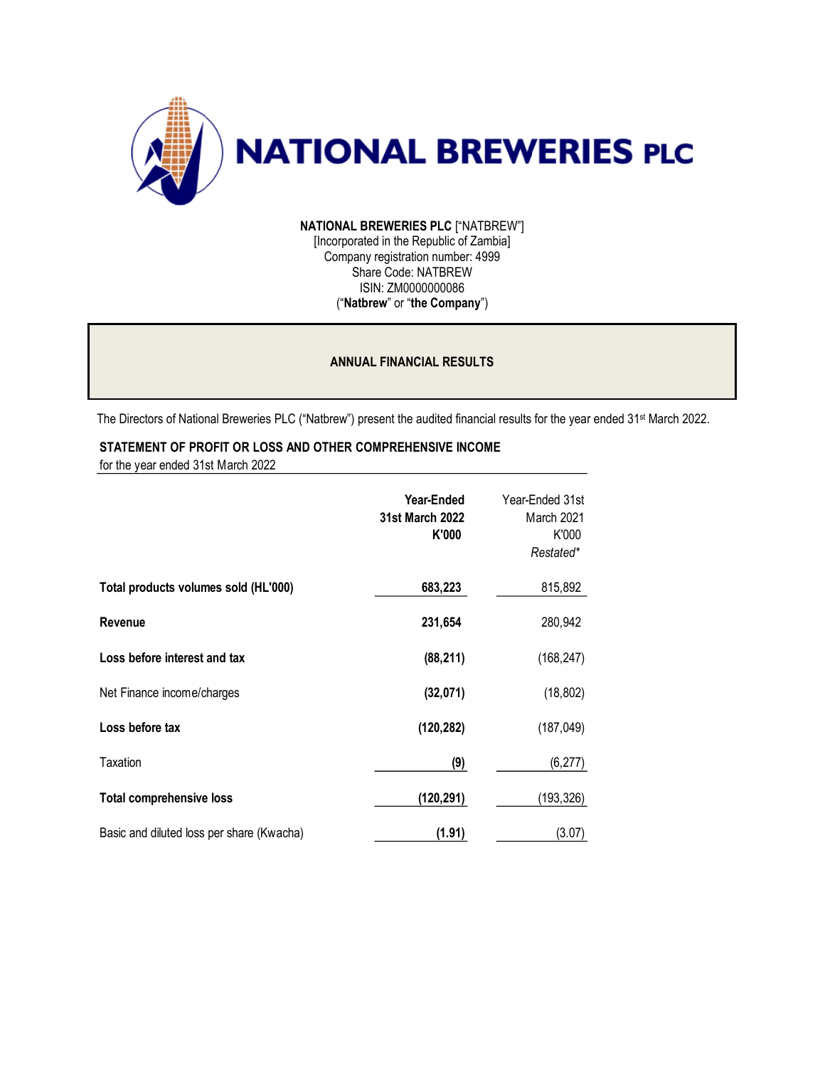

**NATIONAL BREWERIES PLC** ["NATBREW"] [Incorporated in the Republic of Zambia] Company registration number: 4999 Share Code: NATBREW ISIN: ZM0000000086 ("**Natbrew**" or "**the Company**")

## **ANNUAL FINANCIAL RESULTS**

The Directors of National Breweries PLC ("Natbrew") present the audited financial results for the year ended 31st March 2022.

# **STATEMENT OF PROFIT OR LOSS AND OTHER COMPREHENSIVE INCOME**

for the year ended 31st March 2022

|                                           | Year-Ended<br>31st March 2022<br>K'000 | Year-Ended 31st<br>March 2021<br>K'000<br>Restated* |
|-------------------------------------------|----------------------------------------|-----------------------------------------------------|
| Total products volumes sold (HL'000)      | 683,223                                | 815,892                                             |
| Revenue                                   | 231,654                                | 280,942                                             |
| Loss before interest and tax              | (88, 211)                              | (168, 247)                                          |
| Net Finance income/charges                | (32,071)                               | (18, 802)                                           |
| Loss before tax                           | (120, 282)                             | (187, 049)                                          |
| Taxation                                  | (9)                                    | (6, 277)                                            |
| <b>Total comprehensive loss</b>           | (120,291)                              | (193,326)                                           |
| Basic and diluted loss per share (Kwacha) | (1.91)                                 | (3.07)                                              |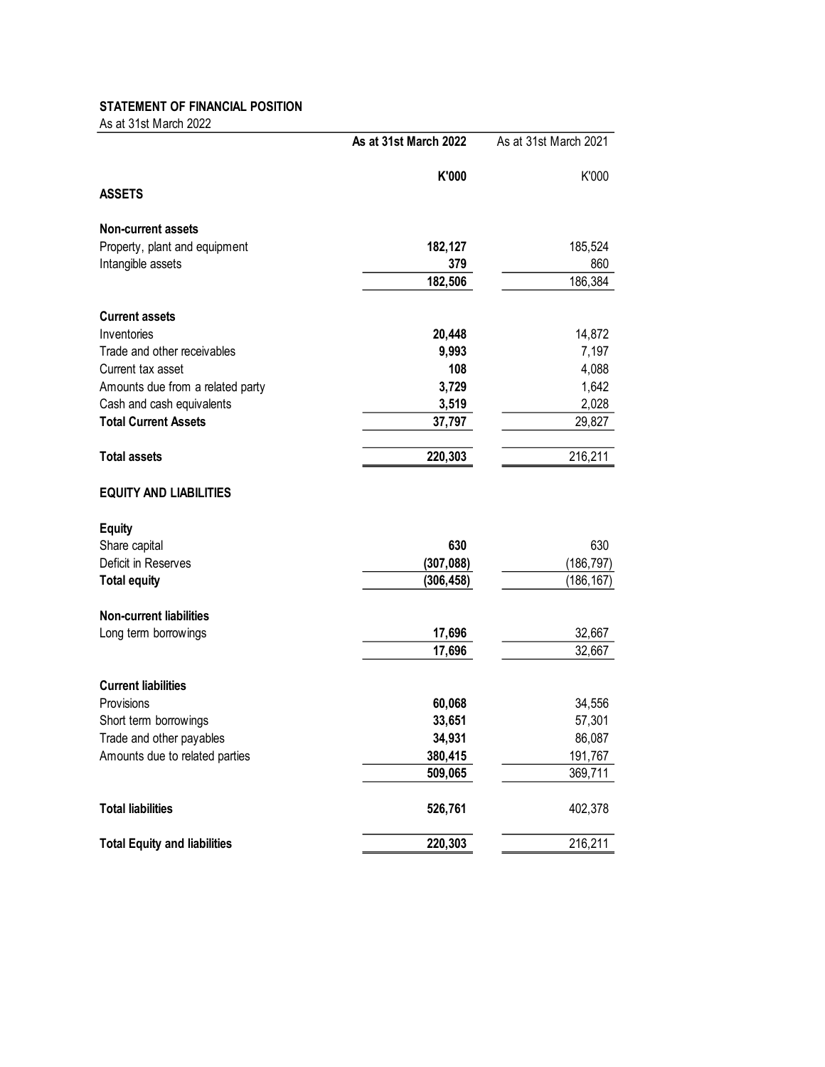# **STATEMENT OF FINANCIAL POSITION**

As at 31st March 2022

|                                     | As at 31st March 2022 | As at 31st March 2021 |  |
|-------------------------------------|-----------------------|-----------------------|--|
| <b>ASSETS</b>                       | K'000                 | K'000                 |  |
|                                     |                       |                       |  |
| <b>Non-current assets</b>           |                       |                       |  |
| Property, plant and equipment       | 182,127               | 185,524               |  |
| Intangible assets                   | 379                   | 860                   |  |
|                                     | 182,506               | 186,384               |  |
| <b>Current assets</b>               |                       |                       |  |
| Inventories                         | 20,448                | 14,872                |  |
| Trade and other receivables         | 9,993                 | 7,197                 |  |
| Current tax asset                   | 108                   | 4,088                 |  |
| Amounts due from a related party    | 3,729                 | 1,642                 |  |
| Cash and cash equivalents           | 3,519                 | 2,028                 |  |
| <b>Total Current Assets</b>         | 37,797                | 29,827                |  |
| <b>Total assets</b>                 | 220,303               | 216,211               |  |
| <b>EQUITY AND LIABILITIES</b>       |                       |                       |  |
| <b>Equity</b>                       |                       |                       |  |
| Share capital                       | 630                   | 630                   |  |
| Deficit in Reserves                 | (307, 088)            | (186, 797)            |  |
| <b>Total equity</b>                 | (306, 458)            | (186, 167)            |  |
| <b>Non-current liabilities</b>      |                       |                       |  |
| Long term borrowings                | 17,696                | 32,667                |  |
|                                     | 17,696                | 32,667                |  |
| <b>Current liabilities</b>          |                       |                       |  |
| Provisions                          | 60,068                | 34,556                |  |
| Short term borrowings               | 33,651                | 57,301                |  |
| Trade and other payables            | 34,931                | 86,087                |  |
| Amounts due to related parties      | 380,415               | 191,767               |  |
|                                     | 509,065               | 369,711               |  |
| <b>Total liabilities</b>            | 526,761               | 402,378               |  |
| <b>Total Equity and liabilities</b> | 220,303               | 216,211               |  |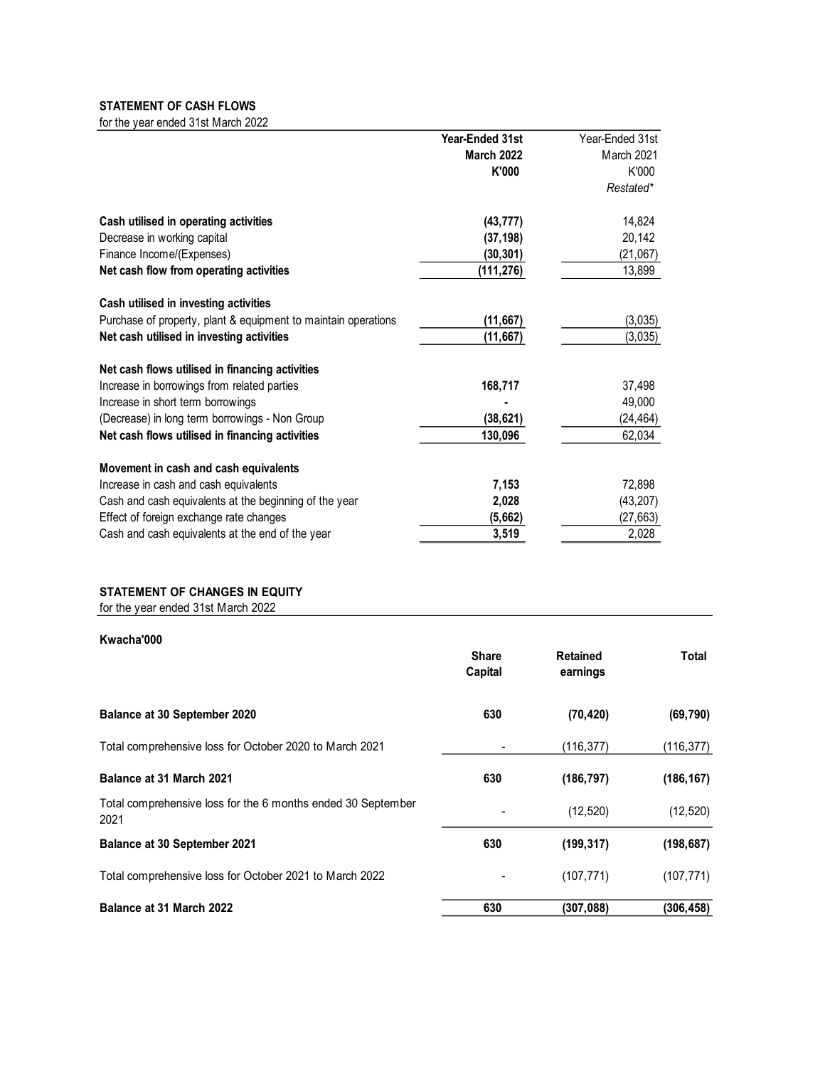#### **STATEMENT OF CASH FLOWS** for the year ended 31st March 2022

| iui tile yeal enueu JTSt March ZUZZ                            |                   |                 |
|----------------------------------------------------------------|-------------------|-----------------|
|                                                                | Year-Ended 31st   | Year-Ended 31st |
|                                                                | <b>March 2022</b> | March 2021      |
|                                                                | K'000             | K'000           |
|                                                                |                   | Restated*       |
| Cash utilised in operating activities                          | (43, 777)         | 14,824          |
| Decrease in working capital                                    | (37, 198)         | 20,142          |
| Finance Income/(Expenses)                                      | (30, 301)         | (21,067)        |
| Net cash flow from operating activities                        | (111,276)         | 13,899          |
| Cash utilised in investing activities                          |                   |                 |
| Purchase of property, plant & equipment to maintain operations | (11, 667)         | (3,035)         |
| Net cash utilised in investing activities                      | (11, 667)         | (3,035)         |
| Net cash flows utilised in financing activities                |                   |                 |
| Increase in borrowings from related parties                    | 168,717           | 37,498          |
| Increase in short term borrowings                              |                   | 49,000          |
| (Decrease) in long term borrowings - Non Group                 | (38, 621)         | (24, 464)       |
| Net cash flows utilised in financing activities                | 130,096           | 62,034          |
| Movement in cash and cash equivalents                          |                   |                 |
| Increase in cash and cash equivalents                          | 7,153             | 72,898          |
| Cash and cash equivalents at the beginning of the year         | 2,028             | (43, 207)       |
| Effect of foreign exchange rate changes                        | (5,662)           | (27, 663)       |
| Cash and cash equivalents at the end of the year               | 3,519             | 2,028           |
|                                                                |                   |                 |

# **STATEMENT OF CHANGES IN EQUITY**

for the year ended 31st March 2022

| Kwacha'000                                                           |                         |                             |            |
|----------------------------------------------------------------------|-------------------------|-----------------------------|------------|
|                                                                      | <b>Share</b><br>Capital | <b>Retained</b><br>earnings | Total      |
| Balance at 30 September 2020                                         | 630                     | (70, 420)                   | (69, 790)  |
| Total comprehensive loss for October 2020 to March 2021              |                         | (116, 377)                  | (116, 377) |
| Balance at 31 March 2021                                             | 630                     | (186, 797)                  | (186, 167) |
| Total comprehensive loss for the 6 months ended 30 September<br>2021 |                         | (12, 520)                   | (12, 520)  |
| <b>Balance at 30 September 2021</b>                                  | 630                     | (199, 317)                  | (198, 687) |
| Total comprehensive loss for October 2021 to March 2022              |                         | (107, 771)                  | (107, 771) |
| Balance at 31 March 2022                                             | 630                     | (307.088)                   | (306, 458) |